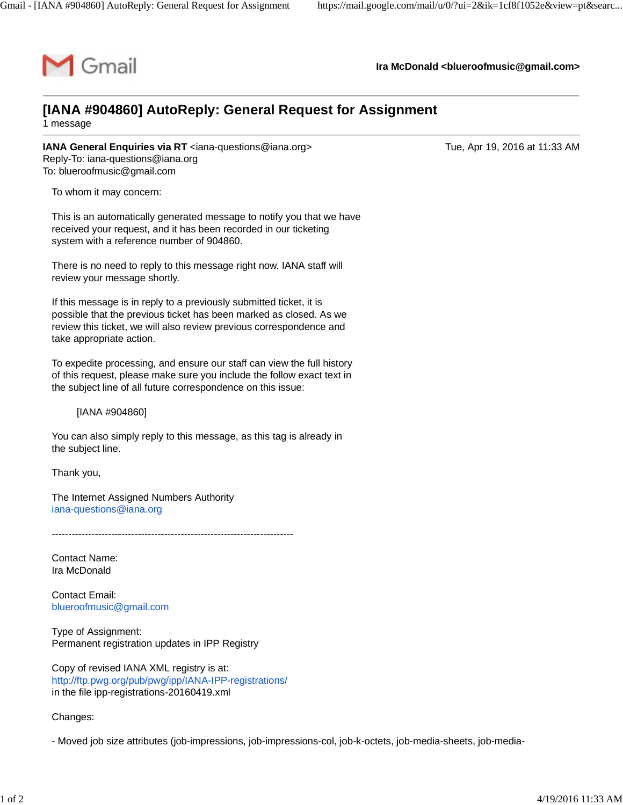

**Ira McDonald [<blueroofmusic@gmail.com](mailto:blueroofmusic@gmail.com)>**

## **[IANA #904860] AutoReply: General Request for Assignment**

1 message

**IANA General Enquiries via RT** [<iana-questions@iana.org>](mailto:iana-questions@iana.org) Tue, Apr 19, 2016 at 11:33 AM Reply-To: [iana-questions@iana.org](mailto:iana-questions@iana.org) To: [blueroofmusic@gmail.com](mailto:blueroofmusic@gmail.com)

To whom it may concern:

This is an automatically generated message to notify you that we have received your request, and it has been recorded in our ticketing system with a reference number of 904860.

There is no need to reply to this message right now. IANA staff will review your message shortly.

If this message is in reply to a previously submitted ticket, it is possible that the previous ticket has been marked as closed. As we review this ticket, we will also review previous correspondence and take appropriate action.

To expedite processing, and ensure our staff can view the full history of this request, please make sure you include the follow exact text in the subject line of all future correspondence on this issue:

[IANA #904860]

You can also simply reply to this message, as this tag is already in the subject line.

Thank you,

The Internet Assigned Numbers Authority [iana-questions@iana.org](mailto:iana-questions@iana.org)

-------------------------------------------------------------------------

Contact Name: Ira McDonald

Contact Email: [blueroofmusic@gmail.com](mailto:blueroofmusic@gmail.com)

Type of Assignment: Permanent registration updates in IPP Registry

Copy of revised IANA XML registry is at: <http://ftp.pwg.org/pub/pwg/ipp/IANA-IPP-registrations/> in the file ipp-registrations-20160419.xml

Changes:

- Moved job size attributes (job-impressions, job-impressions-col, job-k-octets, job-media-sheets, job-media-